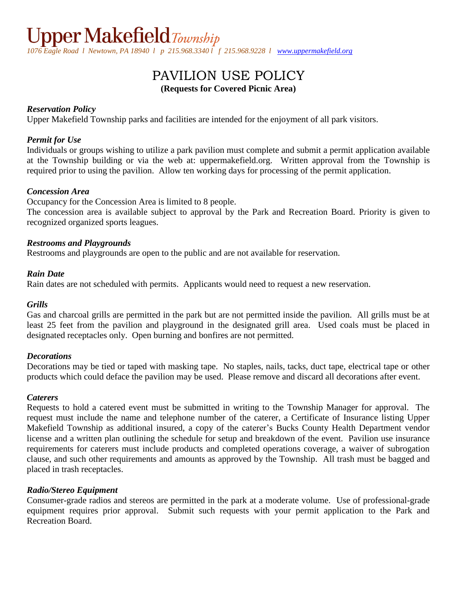# PAVILION USE POLICY **(Requests for Covered Picnic Area)**

# *Reservation Policy*

Upper Makefield Township parks and facilities are intended for the enjoyment of all park visitors.

# *Permit for Use*

Individuals or groups wishing to utilize a park pavilion must complete and submit a permit application available at the Township building or via the web at: uppermakefield.org. Written approval from the Township is required prior to using the pavilion. Allow ten working days for processing of the permit application.

# *Concession Area*

Occupancy for the Concession Area is limited to 8 people.

The concession area is available subject to approval by the Park and Recreation Board. Priority is given to recognized organized sports leagues.

# *Restrooms and Playgrounds*

Restrooms and playgrounds are open to the public and are not available for reservation.

#### *Rain Date*

Rain dates are not scheduled with permits. Applicants would need to request a new reservation.

# *Grills*

Gas and charcoal grills are permitted in the park but are not permitted inside the pavilion. All grills must be at least 25 feet from the pavilion and playground in the designated grill area. Used coals must be placed in designated receptacles only. Open burning and bonfires are not permitted.

# *Decorations*

Decorations may be tied or taped with masking tape. No staples, nails, tacks, duct tape, electrical tape or other products which could deface the pavilion may be used. Please remove and discard all decorations after event.

# *Caterers*

Requests to hold a catered event must be submitted in writing to the Township Manager for approval. The request must include the name and telephone number of the caterer, a Certificate of Insurance listing Upper Makefield Township as additional insured, a copy of the caterer's Bucks County Health Department vendor license and a written plan outlining the schedule for setup and breakdown of the event. Pavilion use insurance requirements for caterers must include products and completed operations coverage, a waiver of subrogation clause, and such other requirements and amounts as approved by the Township. All trash must be bagged and placed in trash receptacles.

# *Radio/Stereo Equipment*

Consumer-grade radios and stereos are permitted in the park at a moderate volume. Use of professional-grade equipment requires prior approval. Submit such requests with your permit application to the Park and Recreation Board.